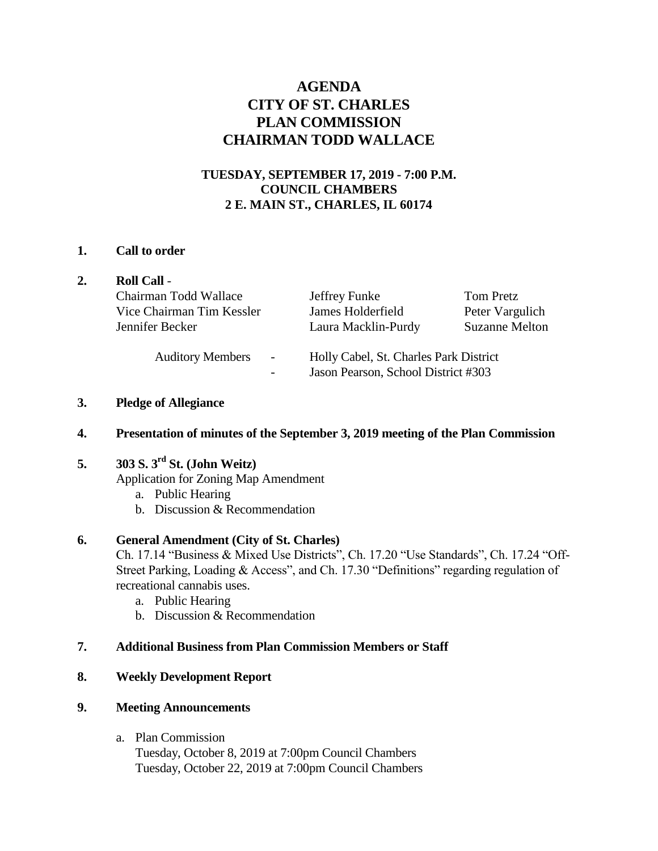# **AGENDA CITY OF ST. CHARLES PLAN COMMISSION CHAIRMAN TODD WALLACE**

## **TUESDAY, SEPTEMBER 17, 2019 - 7:00 P.M. COUNCIL CHAMBERS 2 E. MAIN ST., CHARLES, IL 60174**

## **1. Call to order**

|  | <b>Roll Call -</b>                                                                  |                                                                               |                                                       |
|--|-------------------------------------------------------------------------------------|-------------------------------------------------------------------------------|-------------------------------------------------------|
|  | Chairman Todd Wallace<br>Vice Chairman Tim Kessler<br>Jennifer Becker               | Jeffrey Funke<br>James Holderfield<br>Laura Macklin-Purdy                     | Tom Pretz<br>Peter Vargulich<br><b>Suzanne Melton</b> |
|  | <b>Auditory Members</b><br>$\overline{\phantom{a}}$<br>$\qquad \qquad \blacksquare$ | Holly Cabel, St. Charles Park District<br>Jason Pearson, School District #303 |                                                       |

## **3. Pledge of Allegiance**

## **4. Presentation of minutes of the September 3, 2019 meeting of the Plan Commission**

## **5. 303 S. 3rd St. (John Weitz)**

Application for Zoning Map Amendment

- a. Public Hearing
- b. Discussion & Recommendation

## **6. General Amendment (City of St. Charles)**

Ch. 17.14 "Business & Mixed Use Districts", Ch. 17.20 "Use Standards", Ch. 17.24 "Off-Street Parking, Loading & Access", and Ch. 17.30 "Definitions" regarding regulation of recreational cannabis uses.

- a. Public Hearing
- b. Discussion & Recommendation

## **7. Additional Business from Plan Commission Members or Staff**

## **8. Weekly Development Report**

## **9. Meeting Announcements**

a. Plan Commission

Tuesday, October 8, 2019 at 7:00pm Council Chambers Tuesday, October 22, 2019 at 7:00pm Council Chambers